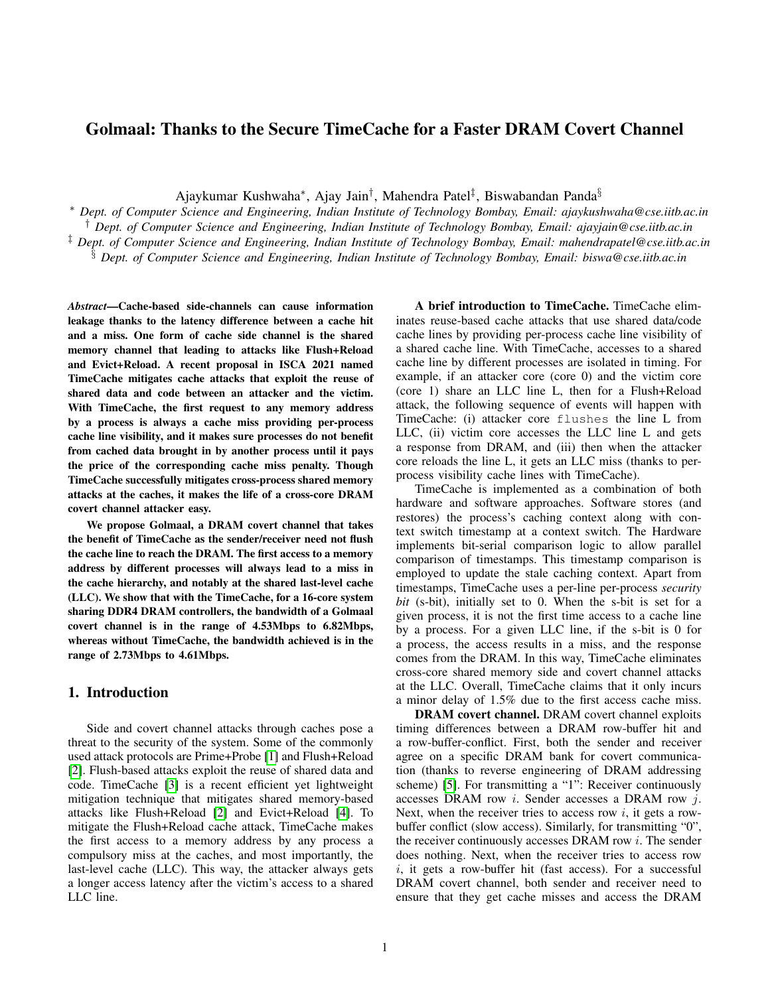# Golmaal: Thanks to the Secure TimeCache for a Faster DRAM Covert Channel

Ajaykumar Kushwaha\*, Ajay Jain<sup>†</sup>, Mahendra Patel<sup>‡</sup>, Biswabandan Panda<sup>§</sup>

<sup>∗</sup> *Dept. of Computer Science and Engineering, Indian Institute of Technology Bombay, Email: ajaykushwaha@cse.iitb.ac.in* † *Dept. of Computer Science and Engineering, Indian Institute of Technology Bombay, Email: ajayjain@cse.iitb.ac.in* ‡ *Dept. of Computer Science and Engineering, Indian Institute of Technology Bombay, Email: mahendrapatel@cse.iitb.ac.in* § *Dept. of Computer Science and Engineering, Indian Institute of Technology Bombay, Email: biswa@cse.iitb.ac.in*

*Abstract*—Cache-based side-channels can cause information leakage thanks to the latency difference between a cache hit and a miss. One form of cache side channel is the shared memory channel that leading to attacks like Flush+Reload and Evict+Reload. A recent proposal in ISCA 2021 named TimeCache mitigates cache attacks that exploit the reuse of shared data and code between an attacker and the victim. With TimeCache, the first request to any memory address by a process is always a cache miss providing per-process cache line visibility, and it makes sure processes do not benefit from cached data brought in by another process until it pays the price of the corresponding cache miss penalty. Though TimeCache successfully mitigates cross-process shared memory attacks at the caches, it makes the life of a cross-core DRAM covert channel attacker easy.

We propose Golmaal, a DRAM covert channel that takes the benefit of TimeCache as the sender/receiver need not flush the cache line to reach the DRAM. The first access to a memory address by different processes will always lead to a miss in the cache hierarchy, and notably at the shared last-level cache (LLC). We show that with the TimeCache, for a 16-core system sharing DDR4 DRAM controllers, the bandwidth of a Golmaal covert channel is in the range of 4.53Mbps to 6.82Mbps, whereas without TimeCache, the bandwidth achieved is in the range of 2.73Mbps to 4.61Mbps.

### 1. Introduction

Side and covert channel attacks through caches pose a threat to the security of the system. Some of the commonly used attack protocols are Prime+Probe [\[1\]](#page-5-0) and Flush+Reload [\[2\]](#page-5-1). Flush-based attacks exploit the reuse of shared data and code. TimeCache [\[3\]](#page-5-2) is a recent efficient yet lightweight mitigation technique that mitigates shared memory-based attacks like Flush+Reload [\[2\]](#page-5-1) and Evict+Reload [\[4\]](#page-5-3). To mitigate the Flush+Reload cache attack, TimeCache makes the first access to a memory address by any process a compulsory miss at the caches, and most importantly, the last-level cache (LLC). This way, the attacker always gets a longer access latency after the victim's access to a shared LLC line.

A brief introduction to TimeCache. TimeCache eliminates reuse-based cache attacks that use shared data/code cache lines by providing per-process cache line visibility of a shared cache line. With TimeCache, accesses to a shared cache line by different processes are isolated in timing. For example, if an attacker core (core 0) and the victim core (core 1) share an LLC line L, then for a Flush+Reload attack, the following sequence of events will happen with TimeCache: (i) attacker core flushes the line L from LLC, (ii) victim core accesses the LLC line L and gets a response from DRAM, and (iii) then when the attacker core reloads the line L, it gets an LLC miss (thanks to perprocess visibility cache lines with TimeCache).

TimeCache is implemented as a combination of both hardware and software approaches. Software stores (and restores) the process's caching context along with context switch timestamp at a context switch. The Hardware implements bit-serial comparison logic to allow parallel comparison of timestamps. This timestamp comparison is employed to update the stale caching context. Apart from timestamps, TimeCache uses a per-line per-process *security bit* (s-bit), initially set to 0. When the s-bit is set for a given process, it is not the first time access to a cache line by a process. For a given LLC line, if the s-bit is 0 for a process, the access results in a miss, and the response comes from the DRAM. In this way, TimeCache eliminates cross-core shared memory side and covert channel attacks at the LLC. Overall, TimeCache claims that it only incurs a minor delay of 1.5% due to the first access cache miss.

DRAM covert channel. DRAM covert channel exploits timing differences between a DRAM row-buffer hit and a row-buffer-conflict. First, both the sender and receiver agree on a specific DRAM bank for covert communication (thanks to reverse engineering of DRAM addressing scheme) [\[5\]](#page-5-4). For transmitting a "1": Receiver continuously accesses DRAM row i. Sender accesses a DRAM row j. Next, when the receiver tries to access row  $i$ , it gets a rowbuffer conflict (slow access). Similarly, for transmitting "0", the receiver continuously accesses DRAM row i. The sender does nothing. Next, when the receiver tries to access row  $i$ , it gets a row-buffer hit (fast access). For a successful DRAM covert channel, both sender and receiver need to ensure that they get cache misses and access the DRAM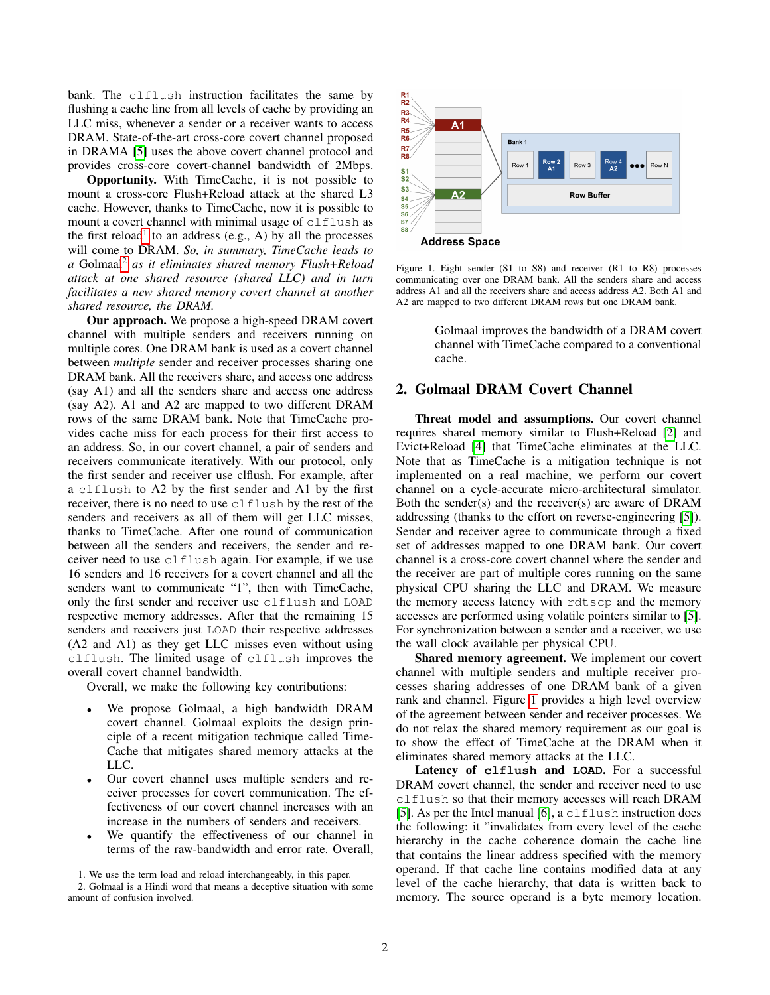bank. The clflush instruction facilitates the same by flushing a cache line from all levels of cache by providing an LLC miss, whenever a sender or a receiver wants to access DRAM. State-of-the-art cross-core covert channel proposed in DRAMA [\[5\]](#page-5-4) uses the above covert channel protocol and provides cross-core covert-channel bandwidth of 2Mbps.

Opportunity. With TimeCache, it is not possible to mount a cross-core Flush+Reload attack at the shared L3 cache. However, thanks to TimeCache, now it is possible to mount a covert channel with minimal usage of clflush as the first reload<sup>[1](#page-1-0)</sup> to an address (e.g., A) by all the processes will come to DRAM. *So, in summary, TimeCache leads to a* Golmaal[2](#page-1-1) *as it eliminates shared memory Flush+Reload attack at one shared resource (shared LLC) and in turn facilitates a new shared memory covert channel at another shared resource, the DRAM.*

Our approach. We propose a high-speed DRAM covert channel with multiple senders and receivers running on multiple cores. One DRAM bank is used as a covert channel between *multiple* sender and receiver processes sharing one DRAM bank. All the receivers share, and access one address (say A1) and all the senders share and access one address (say A2). A1 and A2 are mapped to two different DRAM rows of the same DRAM bank. Note that TimeCache provides cache miss for each process for their first access to an address. So, in our covert channel, a pair of senders and receivers communicate iteratively. With our protocol, only the first sender and receiver use clflush. For example, after a clflush to A2 by the first sender and A1 by the first receiver, there is no need to use clflush by the rest of the senders and receivers as all of them will get LLC misses, thanks to TimeCache. After one round of communication between all the senders and receivers, the sender and receiver need to use clflush again. For example, if we use 16 senders and 16 receivers for a covert channel and all the senders want to communicate "1", then with TimeCache, only the first sender and receiver use clflush and LOAD respective memory addresses. After that the remaining 15 senders and receivers just LOAD their respective addresses (A2 and A1) as they get LLC misses even without using clflush. The limited usage of clflush improves the overall covert channel bandwidth.

Overall, we make the following key contributions:

- We propose Golmaal, a high bandwidth DRAM covert channel. Golmaal exploits the design principle of a recent mitigation technique called Time-Cache that mitigates shared memory attacks at the LLC.
- Our covert channel uses multiple senders and receiver processes for covert communication. The effectiveness of our covert channel increases with an increase in the numbers of senders and receivers.
- We quantify the effectiveness of our channel in terms of the raw-bandwidth and error rate. Overall,

<span id="page-1-1"></span><span id="page-1-0"></span>1. We use the term load and reload interchangeably, in this paper.



<span id="page-1-2"></span>Figure 1. Eight sender (S1 to S8) and receiver (R1 to R8) processes communicating over one DRAM bank. All the senders share and access address A1 and all the receivers share and access address A2. Both A1 and A2 are mapped to two different DRAM rows but one DRAM bank.

Golmaal improves the bandwidth of a DRAM covert channel with TimeCache compared to a conventional cache.

# 2. Golmaal DRAM Covert Channel

Threat model and assumptions. Our covert channel requires shared memory similar to Flush+Reload [\[2\]](#page-5-1) and Evict+Reload [\[4\]](#page-5-3) that TimeCache eliminates at the LLC. Note that as TimeCache is a mitigation technique is not implemented on a real machine, we perform our covert channel on a cycle-accurate micro-architectural simulator. Both the sender(s) and the receiver(s) are aware of DRAM addressing (thanks to the effort on reverse-engineering [\[5\]](#page-5-4)). Sender and receiver agree to communicate through a fixed set of addresses mapped to one DRAM bank. Our covert channel is a cross-core covert channel where the sender and the receiver are part of multiple cores running on the same physical CPU sharing the LLC and DRAM. We measure the memory access latency with rdtscp and the memory accesses are performed using volatile pointers similar to [\[5\]](#page-5-4). For synchronization between a sender and a receiver, we use the wall clock available per physical CPU.

Shared memory agreement. We implement our covert channel with multiple senders and multiple receiver processes sharing addresses of one DRAM bank of a given rank and channel. Figure [1](#page-1-2) provides a high level overview of the agreement between sender and receiver processes. We do not relax the shared memory requirement as our goal is to show the effect of TimeCache at the DRAM when it eliminates shared memory attacks at the LLC.

Latency of **clflush** and **LOAD**. For a successful DRAM covert channel, the sender and receiver need to use clflush so that their memory accesses will reach DRAM [\[5\]](#page-5-4). As per the Intel manual  $[6]$ , a clflush instruction does the following: it "invalidates from every level of the cache hierarchy in the cache coherence domain the cache line that contains the linear address specified with the memory operand. If that cache line contains modified data at any level of the cache hierarchy, that data is written back to memory. The source operand is a byte memory location.

<sup>2.</sup> Golmaal is a Hindi word that means a deceptive situation with some amount of confusion involved.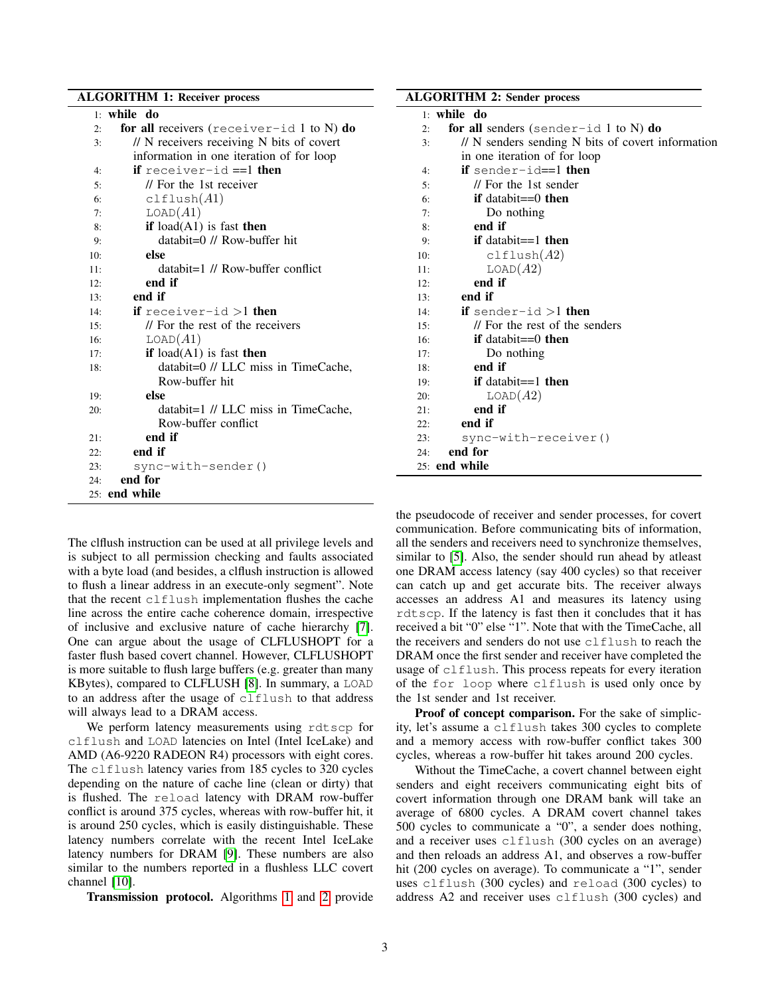# ALGORITHM 1: Receiver process

<span id="page-2-0"></span>

|     | 1: while do                                 |
|-----|---------------------------------------------|
| 2:  | for all receivers (receiver-id $1$ to N) do |
| 3:  | // N receivers receiving N bits of covert   |
|     | information in one iteration of for loop    |
| 4:  | <b>if</b> receiver-id $==1$ then            |
| 5:  | // For the 1st receiver                     |
| 6:  | $clf$ lush $(A1)$                           |
| 7:  | LOAD(A1)                                    |
| 8:  | if $load(A1)$ is fast then                  |
| 9:  | $databit=0$ // Row-buffer hit               |
| 10: | else                                        |
| 11: | $databit=1$ // Row-buffer conflict          |
| 12: | end if                                      |
| 13: | end if                                      |
| 14: | <b>if</b> receiver-id $>1$ then             |
| 15: | // For the rest of the receivers            |
| 16: | LOAD(A1)                                    |
| 17: | if $load(A1)$ is fast then                  |
| 18: | databit=0 // LLC miss in TimeCache,         |
|     | Row-buffer hit                              |
| 19: | else                                        |
| 20: | $databit=1$ // LLC miss in TimeCache,       |
|     | Row-buffer conflict                         |
| 21: | end if                                      |
| 22: | end if                                      |
| 23: | sync-with-sender()                          |
| 24: | end for                                     |
|     | 25: end while                               |

The clflush instruction can be used at all privilege levels and is subject to all permission checking and faults associated with a byte load (and besides, a clflush instruction is allowed to flush a linear address in an execute-only segment". Note that the recent clflush implementation flushes the cache line across the entire cache coherence domain, irrespective of inclusive and exclusive nature of cache hierarchy [\[7\]](#page-5-6). One can argue about the usage of CLFLUSHOPT for a faster flush based covert channel. However, CLFLUSHOPT is more suitable to flush large buffers (e.g. greater than many KBytes), compared to CLFLUSH [\[8\]](#page-5-7). In summary, a LOAD to an address after the usage of clflush to that address will always lead to a DRAM access.

We perform latency measurements using rdtscp for clflush and LOAD latencies on Intel (Intel IceLake) and AMD (A6-9220 RADEON R4) processors with eight cores. The clflush latency varies from 185 cycles to 320 cycles depending on the nature of cache line (clean or dirty) that is flushed. The reload latency with DRAM row-buffer conflict is around 375 cycles, whereas with row-buffer hit, it is around 250 cycles, which is easily distinguishable. These latency numbers correlate with the recent Intel IceLake latency numbers for DRAM [\[9\]](#page-5-8). These numbers are also similar to the numbers reported in a flushless LLC covert channel [\[10\]](#page-5-9).

Transmission protocol. Algorithms [1](#page-2-0) and [2](#page-2-1) provide

<span id="page-2-1"></span>

| <b>ALGORITHM 2: Sender process</b> |                                                   |  |  |
|------------------------------------|---------------------------------------------------|--|--|
|                                    | $1:$ while do                                     |  |  |
| 2:                                 | for all senders (sender-id 1 to N) do             |  |  |
| 3:                                 | // N senders sending N bits of covert information |  |  |
|                                    | in one iteration of for loop                      |  |  |
| 4:                                 | if sender-id==1 then                              |  |  |
| 5:                                 | // For the 1st sender                             |  |  |
| 6:                                 | if databit= $=0$ then                             |  |  |
| 7:                                 | Do nothing                                        |  |  |
| 8:                                 | end if                                            |  |  |
| 9:                                 | if databit= $=1$ then                             |  |  |
| 10:                                | $clf$ lush $(A2)$                                 |  |  |
| 11:                                | LOAD(A2)                                          |  |  |
| 12:                                | end if                                            |  |  |
| 13:                                | end if                                            |  |  |
| 14:                                | <b>if</b> sender-id $>1$ <b>then</b>              |  |  |
| 15:                                | // For the rest of the senders                    |  |  |
| 16:                                | if databit= $=0$ then                             |  |  |
| 17:                                | Do nothing                                        |  |  |
| 18:                                | end if                                            |  |  |
| 19:                                | if databit== $1$ then                             |  |  |
| 20:                                | LOAD(A2)                                          |  |  |
| 21:                                | end if                                            |  |  |
| 22:                                | end if                                            |  |  |
| 23:                                | sync-with-receiver()                              |  |  |
| 24:                                | end for                                           |  |  |
|                                    | $25:$ end while                                   |  |  |

the pseudocode of receiver and sender processes, for covert communication. Before communicating bits of information, all the senders and receivers need to synchronize themselves, similar to [\[5\]](#page-5-4). Also, the sender should run ahead by atleast one DRAM access latency (say 400 cycles) so that receiver can catch up and get accurate bits. The receiver always accesses an address A1 and measures its latency using rdtscp. If the latency is fast then it concludes that it has received a bit "0" else "1". Note that with the TimeCache, all the receivers and senders do not use clflush to reach the DRAM once the first sender and receiver have completed the usage of clflush. This process repeats for every iteration of the for loop where clflush is used only once by the 1st sender and 1st receiver.

Proof of concept comparison. For the sake of simplicity, let's assume a clflush takes 300 cycles to complete and a memory access with row-buffer conflict takes 300 cycles, whereas a row-buffer hit takes around 200 cycles.

Without the TimeCache, a covert channel between eight senders and eight receivers communicating eight bits of covert information through one DRAM bank will take an average of 6800 cycles. A DRAM covert channel takes 500 cycles to communicate a "0", a sender does nothing, and a receiver uses clflush (300 cycles on an average) and then reloads an address A1, and observes a row-buffer hit (200 cycles on average). To communicate a "1", sender uses clflush (300 cycles) and reload (300 cycles) to address A2 and receiver uses clflush (300 cycles) and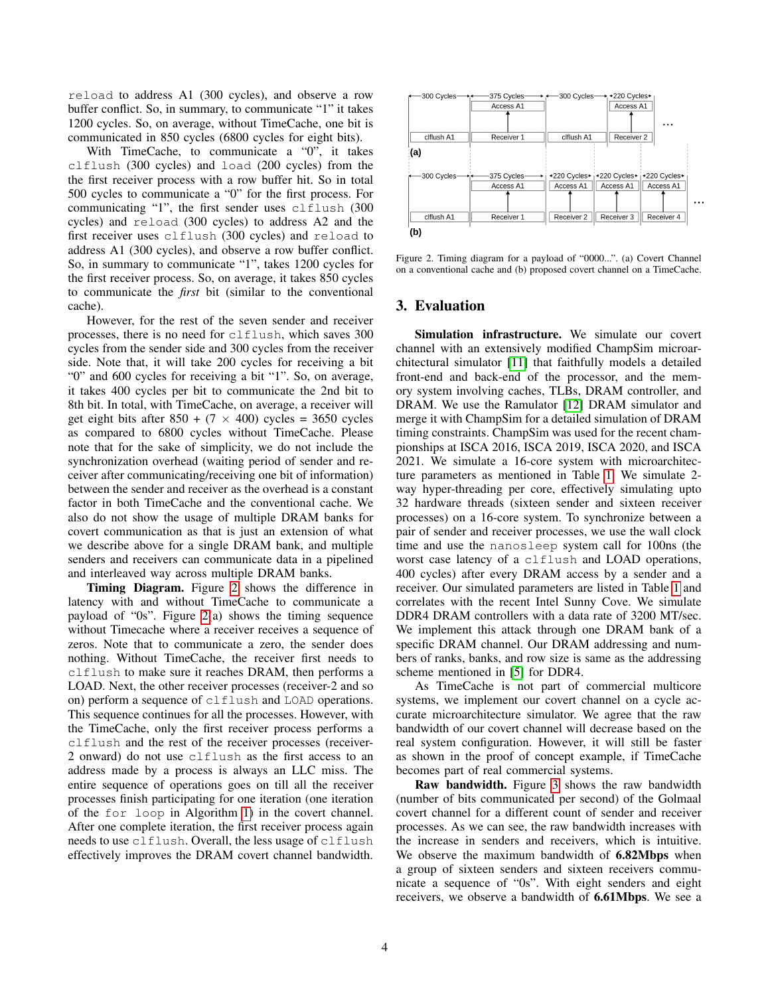reload to address A1 (300 cycles), and observe a row buffer conflict. So, in summary, to communicate "1" it takes 1200 cycles. So, on average, without TimeCache, one bit is communicated in 850 cycles (6800 cycles for eight bits).

With TimeCache, to communicate a "0", it takes clflush (300 cycles) and load (200 cycles) from the the first receiver process with a row buffer hit. So in total 500 cycles to communicate a "0" for the first process. For communicating "1", the first sender uses clflush (300 cycles) and reload (300 cycles) to address A2 and the first receiver uses clflush (300 cycles) and reload to address A1 (300 cycles), and observe a row buffer conflict. So, in summary to communicate "1", takes 1200 cycles for the first receiver process. So, on average, it takes 850 cycles to communicate the *first* bit (similar to the conventional cache).

However, for the rest of the seven sender and receiver processes, there is no need for clflush, which saves 300 cycles from the sender side and 300 cycles from the receiver side. Note that, it will take 200 cycles for receiving a bit "0" and 600 cycles for receiving a bit "1". So, on average, it takes 400 cycles per bit to communicate the 2nd bit to 8th bit. In total, with TimeCache, on average, a receiver will get eight bits after  $850 + (7 \times 400)$  cycles = 3650 cycles as compared to 6800 cycles without TimeCache. Please note that for the sake of simplicity, we do not include the synchronization overhead (waiting period of sender and receiver after communicating/receiving one bit of information) between the sender and receiver as the overhead is a constant factor in both TimeCache and the conventional cache. We also do not show the usage of multiple DRAM banks for covert communication as that is just an extension of what we describe above for a single DRAM bank, and multiple senders and receivers can communicate data in a pipelined and interleaved way across multiple DRAM banks.

Timing Diagram. Figure [2](#page-3-0) shows the difference in latency with and without TimeCache to communicate a payload of "0s". Figure [2\(](#page-3-0)a) shows the timing sequence without Timecache where a receiver receives a sequence of zeros. Note that to communicate a zero, the sender does nothing. Without TimeCache, the receiver first needs to clflush to make sure it reaches DRAM, then performs a LOAD. Next, the other receiver processes (receiver-2 and so on) perform a sequence of clflush and LOAD operations. This sequence continues for all the processes. However, with the TimeCache, only the first receiver process performs a clflush and the rest of the receiver processes (receiver-2 onward) do not use clflush as the first access to an address made by a process is always an LLC miss. The entire sequence of operations goes on till all the receiver processes finish participating for one iteration (one iteration of the for loop in Algorithm [1\)](#page-2-0) in the covert channel. After one complete iteration, the first receiver process again needs to use clflush. Overall, the less usage of clflush effectively improves the DRAM covert channel bandwidth.



<span id="page-3-0"></span>Figure 2. Timing diagram for a payload of "0000...". (a) Covert Channel on a conventional cache and (b) proposed covert channel on a TimeCache.

### 3. Evaluation

Simulation infrastructure. We simulate our covert channel with an extensively modified ChampSim microarchitectural simulator [\[11\]](#page-5-10) that faithfully models a detailed front-end and back-end of the processor, and the memory system involving caches, TLBs, DRAM controller, and DRAM. We use the Ramulator [\[12\]](#page-5-11) DRAM simulator and merge it with ChampSim for a detailed simulation of DRAM timing constraints. ChampSim was used for the recent championships at ISCA 2016, ISCA 2019, ISCA 2020, and ISCA 2021. We simulate a 16-core system with microarchitecture parameters as mentioned in Table [1.](#page-4-0) We simulate 2 way hyper-threading per core, effectively simulating upto 32 hardware threads (sixteen sender and sixteen receiver processes) on a 16-core system. To synchronize between a pair of sender and receiver processes, we use the wall clock time and use the nanosleep system call for 100ns (the worst case latency of a clflush and LOAD operations, 400 cycles) after every DRAM access by a sender and a receiver. Our simulated parameters are listed in Table [1](#page-4-0) and correlates with the recent Intel Sunny Cove. We simulate DDR4 DRAM controllers with a data rate of 3200 MT/sec. We implement this attack through one DRAM bank of a specific DRAM channel. Our DRAM addressing and numbers of ranks, banks, and row size is same as the addressing scheme mentioned in [\[5\]](#page-5-4) for DDR4.

As TimeCache is not part of commercial multicore systems, we implement our covert channel on a cycle accurate microarchitecture simulator. We agree that the raw bandwidth of our covert channel will decrease based on the real system configuration. However, it will still be faster as shown in the proof of concept example, if TimeCache becomes part of real commercial systems.

Raw bandwidth. Figure [3](#page-4-1) shows the raw bandwidth (number of bits communicated per second) of the Golmaal covert channel for a different count of sender and receiver processes. As we can see, the raw bandwidth increases with the increase in senders and receivers, which is intuitive. We observe the maximum bandwidth of 6.82Mbps when a group of sixteen senders and sixteen receivers communicate a sequence of "0s". With eight senders and eight receivers, we observe a bandwidth of 6.61Mbps. We see a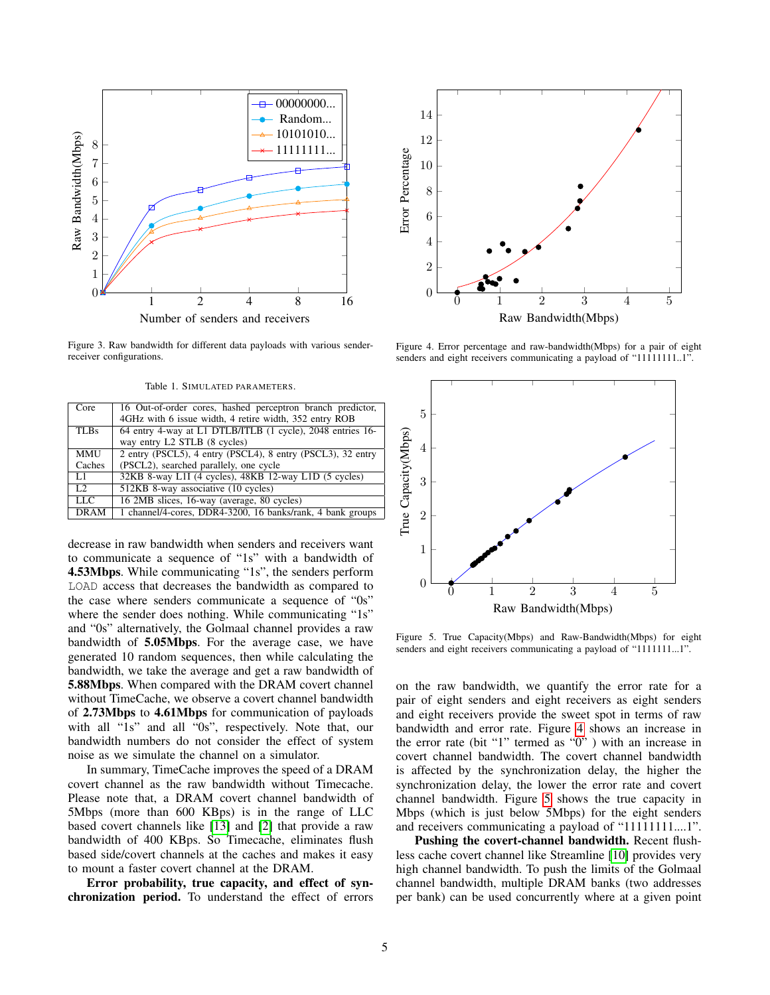

<span id="page-4-1"></span>Figure 3. Raw bandwidth for different data payloads with various senderreceiver configurations.

<span id="page-4-0"></span>Table 1. SIMULATED PARAMETERS.

| Core            | 16 Out-of-order cores, hashed perceptron branch predictor,  |
|-----------------|-------------------------------------------------------------|
|                 | 4GHz with 6 issue width, 4 retire width, 352 entry ROB      |
| <b>TLBs</b>     | 64 entry 4-way at L1 DTLB/ITLB (1 cycle), 2048 entries 16-  |
|                 | way entry L2 STLB (8 cycles)                                |
| <b>MMU</b>      | 2 entry (PSCL5), 4 entry (PSCL4), 8 entry (PSCL3), 32 entry |
| Caches          | (PSCL2), searched parallely, one cycle                      |
| L1              | 32KB 8-way L1I (4 cycles), 48KB 12-way L1D (5 cycles)       |
| $\overline{L2}$ | 512KB 8-way associative (10 cycles)                         |
| LLC             | 16 2MB slices, 16-way (average, 80 cycles)                  |
| <b>DRAM</b>     | 1 channel/4-cores, DDR4-3200, 16 banks/rank, 4 bank groups  |

decrease in raw bandwidth when senders and receivers want to communicate a sequence of "1s" with a bandwidth of 4.53Mbps. While communicating "1s", the senders perform LOAD access that decreases the bandwidth as compared to the case where senders communicate a sequence of "0s" where the sender does nothing. While communicating "1s" and "0s" alternatively, the Golmaal channel provides a raw bandwidth of 5.05Mbps. For the average case, we have generated 10 random sequences, then while calculating the bandwidth, we take the average and get a raw bandwidth of 5.88Mbps. When compared with the DRAM covert channel without TimeCache, we observe a covert channel bandwidth of 2.73Mbps to 4.61Mbps for communication of payloads with all "1s" and all "0s", respectively. Note that, our bandwidth numbers do not consider the effect of system noise as we simulate the channel on a simulator.

In summary, TimeCache improves the speed of a DRAM covert channel as the raw bandwidth without Timecache. Please note that, a DRAM covert channel bandwidth of 5Mbps (more than 600 KBps) is in the range of LLC based covert channels like [\[13\]](#page-5-12) and [\[2\]](#page-5-1) that provide a raw bandwidth of 400 KBps. So Timecache, eliminates flush based side/covert channels at the caches and makes it easy to mount a faster covert channel at the DRAM.

Error probability, true capacity, and effect of synchronization period. To understand the effect of errors



<span id="page-4-2"></span>Figure 4. Error percentage and raw-bandwidth(Mbps) for a pair of eight senders and eight receivers communicating a payload of "11111111..1".



<span id="page-4-3"></span>Figure 5. True Capacity(Mbps) and Raw-Bandwidth(Mbps) for eight senders and eight receivers communicating a payload of "1111111...1".

on the raw bandwidth, we quantify the error rate for a pair of eight senders and eight receivers as eight senders and eight receivers provide the sweet spot in terms of raw bandwidth and error rate. Figure [4](#page-4-2) shows an increase in the error rate (bit "1" termed as "0" ) with an increase in covert channel bandwidth. The covert channel bandwidth is affected by the synchronization delay, the higher the synchronization delay, the lower the error rate and covert channel bandwidth. Figure [5](#page-4-3) shows the true capacity in Mbps (which is just below 5Mbps) for the eight senders and receivers communicating a payload of "11111111....1".

Pushing the covert-channel bandwidth. Recent flushless cache covert channel like Streamline [\[10\]](#page-5-9) provides very high channel bandwidth. To push the limits of the Golmaal channel bandwidth, multiple DRAM banks (two addresses per bank) can be used concurrently where at a given point